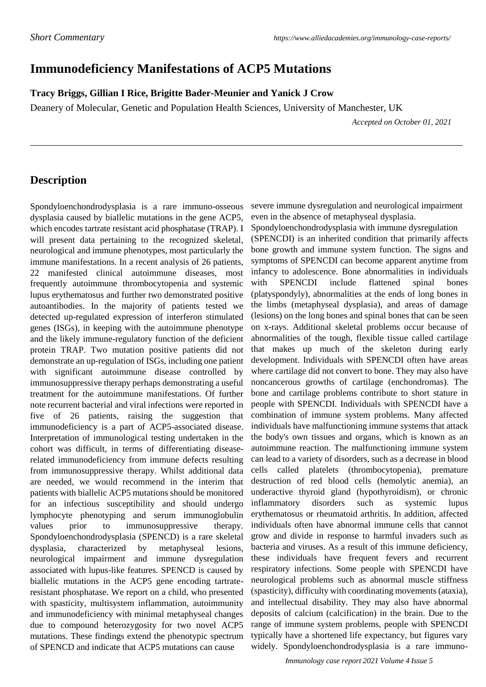## **Immunodeficiency Manifestations of ACP5 Mutations**

**Tracy Briggs, Gillian I Rice, Brigitte Bader-Meunier and Yanick J Crow**

Deanery of Molecular, Genetic and Population Health Sciences, University of Manchester, UK

 *Accepted on October 01, 2021*

## **Description**

Spondyloenchondrodysplasia is a rare immuno-osseous dysplasia caused by biallelic mutations in the gene ACP5, which encodes tartrate resistant acid phosphatase (TRAP). I will present data pertaining to the recognized skeletal, neurological and immune phenotypes, most particularly the immune manifestations. In a recent analysis of 26 patients, 22 manifested clinical autoimmune diseases, most frequently autoimmune thrombocytopenia and systemic lupus erythematosus and further two demonstrated positive autoantibodies. In the majority of patients tested we detected up-regulated expression of interferon stimulated genes (ISGs), in keeping with the autoimmune phenotype and the likely immune-regulatory function of the deficient protein TRAP. Two mutation positive patients did not demonstrate an up-regulation of ISGs, including one patient with significant autoimmune disease controlled by immunosuppressive therapy perhaps demonstrating a useful treatment for the autoimmune manifestations. Of further note recurrent bacterial and viral infections were reported in five of 26 patients, raising the suggestion that immunodeficiency is a part of ACP5-associated disease. Interpretation of immunological testing undertaken in the cohort was difficult, in terms of differentiating diseaserelated immunodeficiency from immune defects resulting from immunosuppressive therapy. Whilst additional data are needed, we would recommend in the interim that patients with biallelic ACP5 mutations should be monitored for an infectious susceptibility and should undergo lymphocyte phenotyping and serum immunoglobulin values prior to immunosuppressive therapy. Spondyloenchondrodysplasia (SPENCD) is a rare skeletal dysplasia, characterized by metaphyseal lesions, neurological impairment and immune dysregulation associated with lupus-like features. SPENCD is caused by biallelic mutations in the ACP5 gene encoding tartrateresistant phosphatase. We report on a child, who presented with spasticity, multisystem inflammation, autoimmunity and immunodeficiency with minimal metaphyseal changes due to compound heterozygosity for two novel ACP5 mutations. These findings extend the phenotypic spectrum of SPENCD and indicate that ACP5 mutations can cause

severe immune dysregulation and neurological impairment even in the absence of metaphyseal dysplasia.

Spondyloenchondrodysplasia with immune dysregulation (SPENCDI) is an inherited condition that primarily affects bone growth and immune system function. The signs and symptoms of SPENCDI can become apparent anytime from infancy to adolescence. Bone abnormalities in individuals with SPENCDI include flattened spinal bones (platyspondyly), abnormalities at the ends of long bones in the limbs (metaphyseal dysplasia), and areas of damage (lesions) on the long bones and spinal bones that can be seen on x-rays. Additional skeletal problems occur because of abnormalities of the tough, flexible tissue called cartilage that makes up much of the skeleton during early development. Individuals with SPENCDI often have areas where cartilage did not convert to bone. They may also have noncancerous growths of cartilage (enchondromas). The bone and cartilage problems contribute to short stature in people with SPENCDI. Individuals with SPENCDI have a combination of immune system problems. Many affected individuals have malfunctioning immune systems that attack the body's own tissues and organs, which is known as an autoimmune reaction. The malfunctioning immune system can lead to a variety of disorders, such as a decrease in blood cells called platelets (thrombocytopenia), premature destruction of red blood cells (hemolytic anemia), an underactive thyroid gland (hypothyroidism), or chronic inflammatory disorders such as systemic lupus erythematosus or rheumatoid arthritis. In addition, affected individuals often have abnormal immune cells that cannot grow and divide in response to harmful invaders such as bacteria and viruses. As a result of this immune deficiency, these individuals have frequent fevers and recurrent respiratory infections. Some people with SPENCDI have neurological problems such as abnormal muscle stiffness (spasticity), difficulty with coordinating movements (ataxia), and intellectual disability. They may also have abnormal deposits of calcium (calcification) in the brain. Due to the range of immune system problems, people with SPENCDI typically have a shortened life expectancy, but figures vary widely. Spondyloenchondrodysplasia is a rare immuno